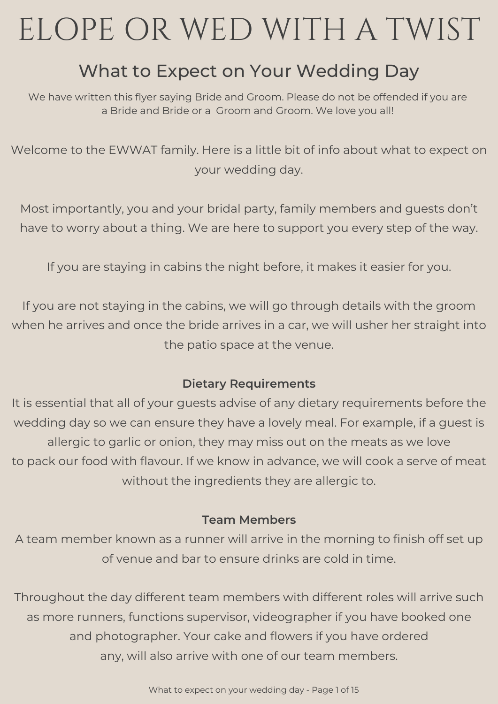# ELOPE OR WED WITH A TWIST

### What to Expect on Your Wedding Day

We have written this flyer saying Bride and Groom. Please do not be offended if you are a Bride and Bride or a Groom and Groom. We love you all!

Welcome to the EWWAT family. Here is a little bit of info about what to expect on your wedding day.

Most importantly, you and your bridal party, family members and guests don't have to worry about a thing. We are here to support you every step of the way.

If you are staying in cabins the night before, it makes it easier for you.

If you are not staying in the cabins, we will go through details with the groom when he arrives and once the bride arrives in a car, we will usher her straight into the patio space at the venue.

### **Dietary Requirements**

It is essential that all of your guests advise of any dietary requirements before the wedding day so we can ensure they have a lovely meal. For example, if a guest is allergic to garlic or onion, they may miss out on the meats as we love to pack our food with flavour. If we know in advance, we will cook a serve of meat without the ingredients they are allergic to.

### **Team Members**

A team member known as a runner will arrive in the morning to finish off set up of venue and bar to ensure drinks are cold in time.

Throughout the day different team members with different roles will arrive such as more runners, functions supervisor, videographer if you have booked one and photographer. Your cake and flowers if you have ordered any, will also arrive with one of our team members.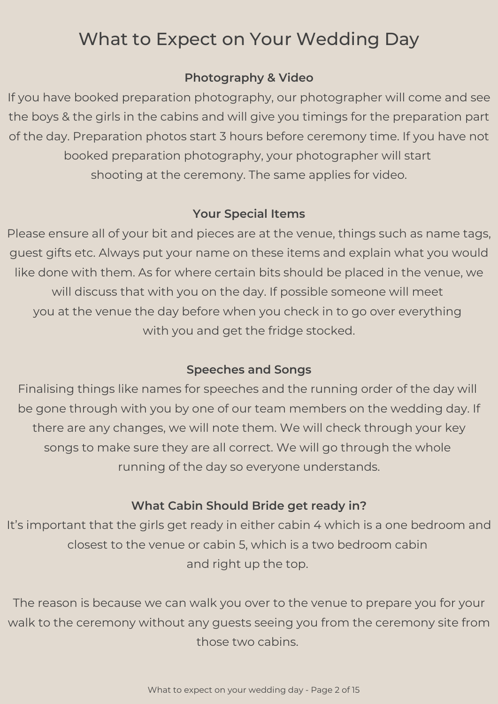### **Photography & Video**

If you have booked preparation photography, our photographer will come and see the boys & the girls in the cabins and will give you timings for the preparation part of the day. Preparation photos start 3 hours before ceremony time. If you have not booked preparation photography, your photographer will start shooting at the ceremony. The same applies for video.

### **Your Special Items**

Please ensure all of your bit and pieces are at the venue, things such as name tags, guest gifts etc. Always put your name on these items and explain what you would like done with them. As for where certain bits should be placed in the venue, we will discuss that with you on the day. If possible someone will meet you at the venue the day before when you check in to go over everything with you and get the fridge stocked.

### **Speeches and Songs**

Finalising things like names for speeches and the running order of the day will be gone through with you by one of our team members on the wedding day. If there are any changes, we will note them. We will check through your key songs to make sure they are all correct. We will go through the whole running of the day so everyone understands.

### **What Cabin Should Bride get ready in?**

It's important that the girls get ready in either cabin 4 which is a one bedroom and closest to the venue or cabin 5, which is a two bedroom cabin and right up the top.

The reason is because we can walk you over to the venue to prepare you for your walk to the ceremony without any guests seeing you from the ceremony site from those two cabins.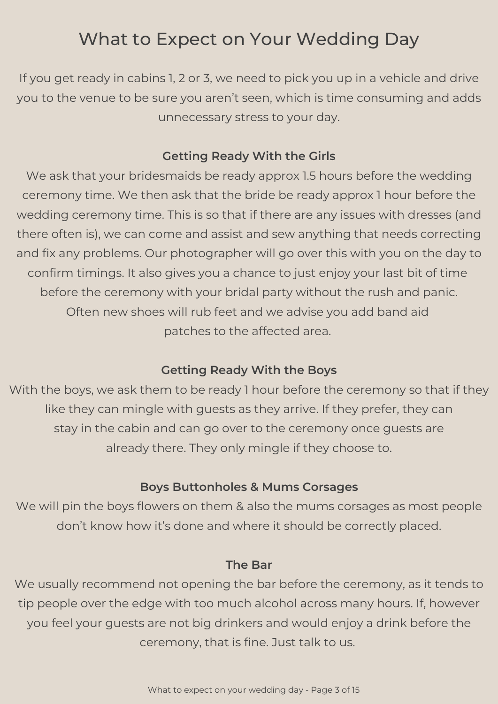If you get ready in cabins 1, 2 or 3, we need to pick you up in a vehicle and drive you to the venue to be sure you aren't seen, which is time consuming and adds unnecessary stress to your day.

#### **Getting Ready With the Girls**

We ask that your bridesmaids be ready approx 1.5 hours before the wedding ceremony time. We then ask that the bride be ready approx 1 hour before the wedding ceremony time. This is so that if there are any issues with dresses (and there often is), we can come and assist and sew anything that needs correcting and fix any problems. Our photographer will go over this with you on the day to confirm timings. It also gives you a chance to just enjoy your last bit of time before the ceremony with your bridal party without the rush and panic. Often new shoes will rub feet and we advise you add band aid patches to the affected area.

### **Getting Ready With the Boys**

With the boys, we ask them to be ready 1 hour before the ceremony so that if they like they can mingle with guests as they arrive. If they prefer, they can stay in the cabin and can go over to the ceremony once guests are already there. They only mingle if they choose to.

#### **Boys Buttonholes & Mums Corsages**

We will pin the boys flowers on them & also the mums corsages as most people don't know how it's done and where it should be correctly placed.

#### **The Bar**

We usually recommend not opening the bar before the ceremony, as it tends to tip people over the edge with too much alcohol across many hours. If, however you feel your guests are not big drinkers and would enjoy a drink before the ceremony, that is fine. Just talk to us.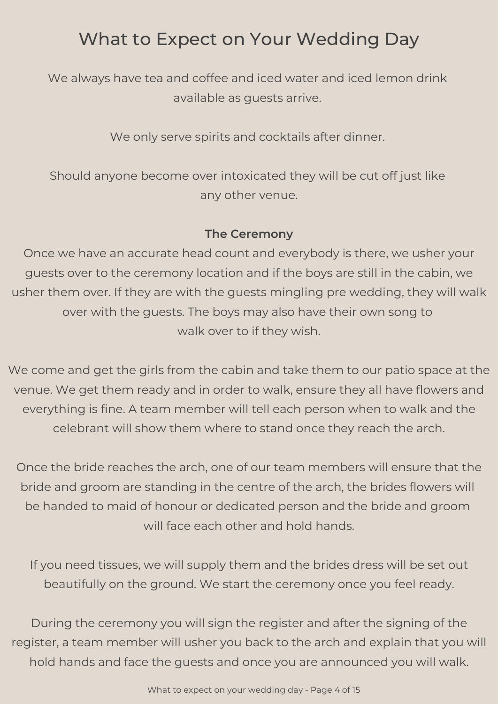We always have tea and coffee and iced water and iced lemon drink available as guests arrive.

We only serve spirits and cocktails after dinner.

Should anyone become over intoxicated they will be cut off just like any other venue.

#### **The Ceremony**

Once we have an accurate head count and everybody is there, we usher your guests over to the ceremony location and if the boys are still in the cabin, we usher them over. If they are with the guests mingling pre wedding, they will walk over with the guests. The boys may also have their own song to walk over to if they wish.

We come and get the girls from the cabin and take them to our patio space at the venue. We get them ready and in order to walk, ensure they all have flowers and everything is fine. A team member will tell each person when to walk and the celebrant will show them where to stand once they reach the arch.

Once the bride reaches the arch, one of our team members will ensure that the bride and groom are standing in the centre of the arch, the brides flowers will be handed to maid of honour or dedicated person and the bride and groom will face each other and hold hands.

If you need tissues, we will supply them and the brides dress will be set out beautifully on the ground. We start the ceremony once you feel ready.

During the ceremony you will sign the register and after the signing of the register, a team member will usher you back to the arch and explain that you will hold hands and face the guests and once you are announced you will walk.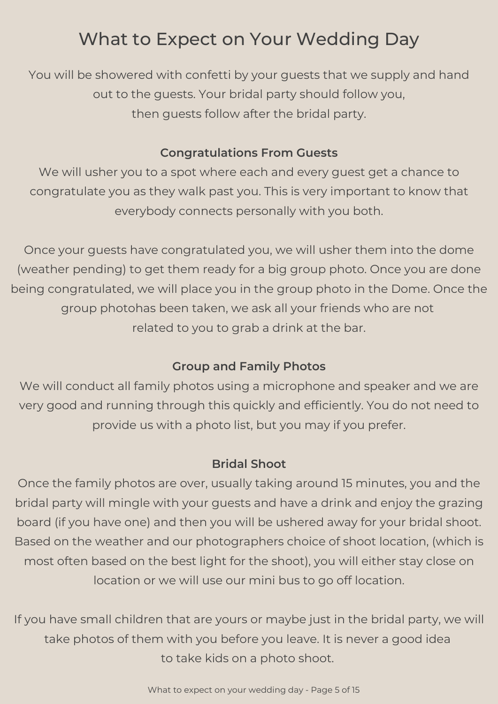You will be showered with confetti by your guests that we supply and hand out to the guests. Your bridal party should follow you, then guests follow after the bridal party.

#### **Congratulations From Guests**

We will usher you to a spot where each and every guest get a chance to congratulate you as they walk past you. This is very important to know that everybody connects personally with you both.

Once your guests have congratulated you, we will usher them into the dome (weather pending) to get them ready for a big group photo. Once you are done being congratulated, we will place you in the group photo in the Dome. Once the group photohas been taken, we ask all your friends who are not related to you to grab a drink at the bar.

### **Group and Family Photos**

We will conduct all family photos using a microphone and speaker and we are very good and running through this quickly and efficiently. You do not need to provide us with a photo list, but you may if you prefer.

### **Bridal Shoot**

Once the family photos are over, usually taking around 15 minutes, you and the bridal party will mingle with your guests and have a drink and enjoy the grazing board (if you have one) and then you will be ushered away for your bridal shoot. Based on the weather and our photographers choice of shoot location, (which is most often based on the best light for the shoot), you will either stay close on location or we will use our mini bus to go off location.

If you have small children that are yours or maybe just in the bridal party, we will take photos of them with you before you leave. It is never a good idea to take kids on a photo shoot.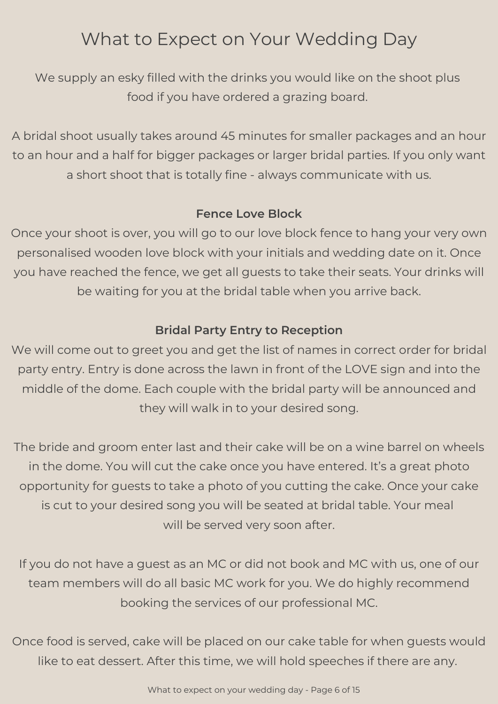We supply an esky filled with the drinks you would like on the shoot plus food if you have ordered a grazing board.

A bridal shoot usually takes around 45 minutes for smaller packages and an hour to an hour and a half for bigger packages or larger bridal parties. If you only want a short shoot that is totally fine - always communicate with us.

### **Fence Love Block**

Once your shoot is over, you will go to our love block fence to hang your very own personalised wooden love block with your initials and wedding date on it. Once you have reached the fence, we get all guests to take their seats. Your drinks will be waiting for you at the bridal table when you arrive back.

### **Bridal Party Entry to Reception**

We will come out to greet you and get the list of names in correct order for bridal party entry. Entry is done across the lawn in front of the LOVE sign and into the middle of the dome. Each couple with the bridal party will be announced and they will walk in to your desired song.

The bride and groom enter last and their cake will be on a wine barrel on wheels in the dome. You will cut the cake once you have entered. It's a great photo opportunity for guests to take a photo of you cutting the cake. Once your cake is cut to your desired song you will be seated at bridal table. Your meal will be served very soon after.

If you do not have a guest as an MC or did not book and MC with us, one of our team members will do all basic MC work for you. We do highly recommend booking the services of our professional MC.

Once food is served, cake will be placed on our cake table for when guests would like to eat dessert. After this time, we will hold speeches if there are any.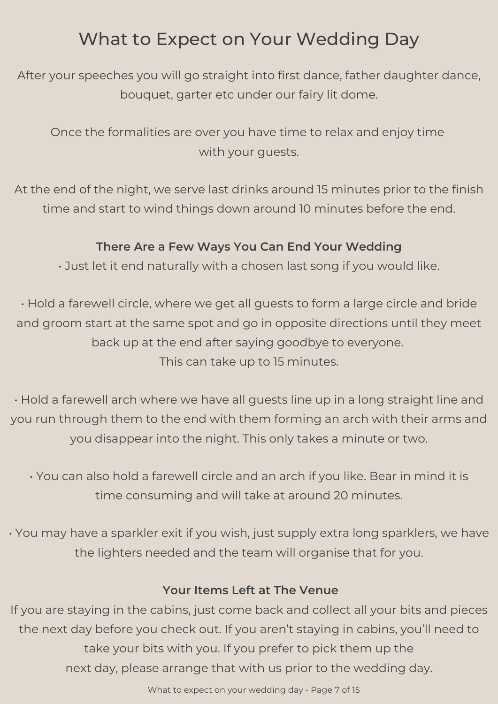After your speeches you will go straight into first dance, father daughter dance, bouquet, garter etc under our fairy lit dome.

Once the formalities are over you have time to relax and enjoy time with your guests.

At the end of the night, we serve last drinks around 15 minutes prior to the finish time and start to wind things down around 10 minutes before the end.

### **There Are a Few Ways You Can End Your Wedding**

• Just let it end naturally with a chosen last song if you would like.

• Hold a farewell circle, where we get all guests to form a large circle and bride and groom start at the same spot and go in opposite directions until they meet back up at the end after saying goodbye to everyone. This can take up to 15 minutes.

• Hold a farewell arch where we have all guests line up in a long straight line and you run through them to the end with them forming an arch with their arms and you disappear into the night. This only takes a minute or two.

• You can also hold a farewell circle and an arch if you like. Bear in mind it is time consuming and will take at around 20 minutes.

• You may have a sparkler exit if you wish, just supply extra long sparklers, we have the lighters needed and the team will organise that for you.

### **Your Items Left at The Venue**

If you are staying in the cabins, just come back and collect all your bits and pieces the next day before you check out. If you aren't staying in cabins, you'll need to take your bits with you. If you prefer to pick them up the next day, please arrange that with us prior to the wedding day.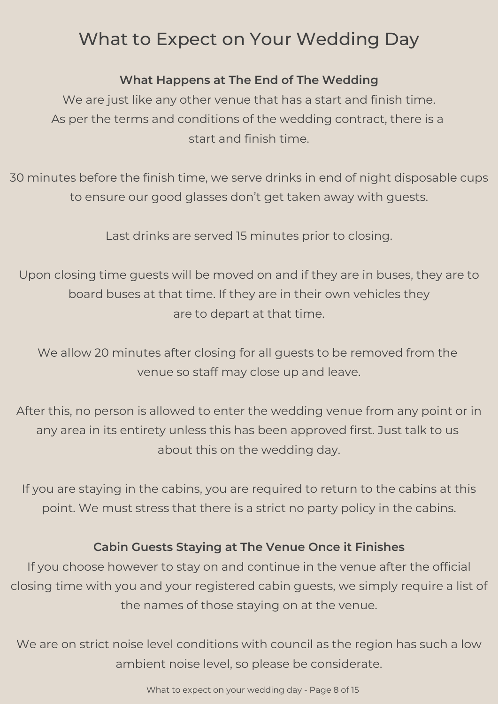### **What Happens at The End of The Wedding**

We are just like any other venue that has a start and finish time. As per the terms and conditions of the wedding contract, there is a start and finish time.

30 minutes before the finish time, we serve drinks in end of night disposable cups to ensure our good glasses don't get taken away with guests.

Last drinks are served 15 minutes prior to closing.

Upon closing time guests will be moved on and if they are in buses, they are to board buses at that time. If they are in their own vehicles they are to depart at that time.

We allow 20 minutes after closing for all guests to be removed from the venue so staff may close up and leave.

After this, no person is allowed to enter the wedding venue from any point or in any area in its entirety unless this has been approved first. Just talk to us about this on the wedding day.

If you are staying in the cabins, you are required to return to the cabins at this point. We must stress that there is a strict no party policy in the cabins.

### **Cabin Guests Staying at The Venue Once it Finishes**

If you choose however to stay on and continue in the venue after the official closing time with you and your registered cabin guests, we simply require a list of the names of those staying on at the venue.

We are on strict noise level conditions with council as the region has such a low ambient noise level, so please be considerate.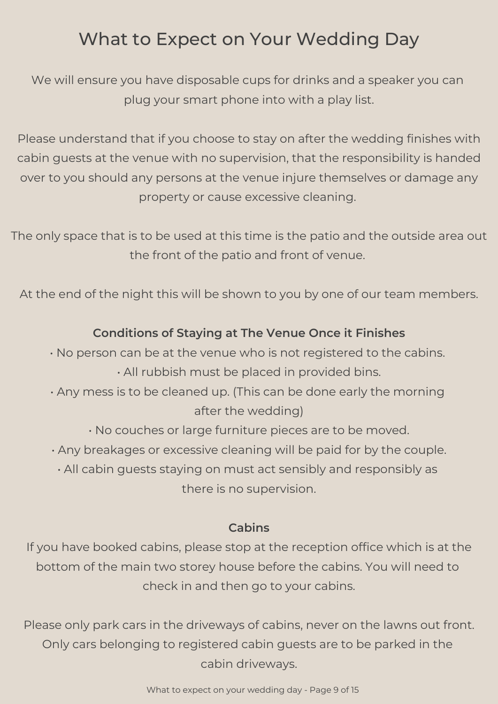We will ensure you have disposable cups for drinks and a speaker you can plug your smart phone into with a play list.

Please understand that if you choose to stay on after the wedding finishes with cabin guests at the venue with no supervision, that the responsibility is handed over to you should any persons at the venue injure themselves or damage any property or cause excessive cleaning.

The only space that is to be used at this time is the patio and the outside area out the front of the patio and front of venue.

At the end of the night this will be shown to you by one of our team members.

### **Conditions of Staying at The Venue Once it Finishes**

• No person can be at the venue who is not registered to the cabins. • All rubbish must be placed in provided bins.

- Any mess is to be cleaned up. (This can be done early the morning after the wedding)
	- No couches or large furniture pieces are to be moved.
- Any breakages or excessive cleaning will be paid for by the couple.

• All cabin guests staying on must act sensibly and responsibly as there is no supervision.

#### **Cabins**

If you have booked cabins, please stop at the reception office which is at the bottom of the main two storey house before the cabins. You will need to check in and then go to your cabins.

Please only park cars in the driveways of cabins, never on the lawns out front. Only cars belonging to registered cabin guests are to be parked in the cabin driveways.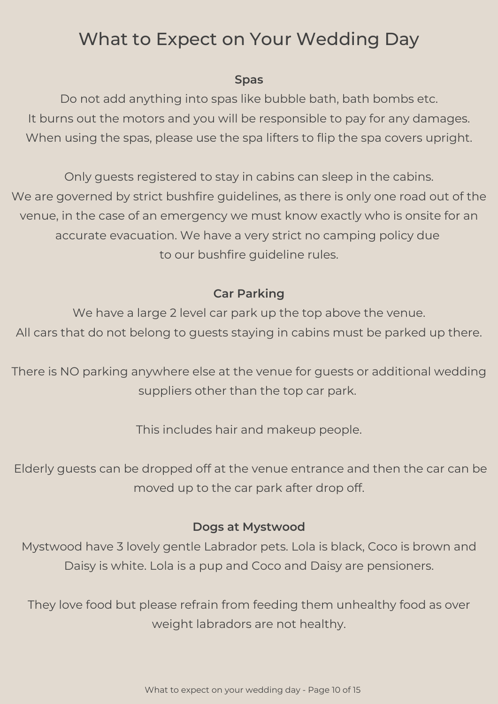#### **Spas**

Do not add anything into spas like bubble bath, bath bombs etc. It burns out the motors and you will be responsible to pay for any damages. When using the spas, please use the spa lifters to flip the spa covers upright.

Only guests registered to stay in cabins can sleep in the cabins. We are governed by strict bushfire guidelines, as there is only one road out of the venue, in the case of an emergency we must know exactly who is onsite for an accurate evacuation. We have a very strict no camping policy due to our bushfire guideline rules.

### **Car Parking**

We have a large 2 level car park up the top above the venue. All cars that do not belong to guests staying in cabins must be parked up there.

There is NO parking anywhere else at the venue for guests or additional wedding suppliers other than the top car park.

This includes hair and makeup people.

Elderly guests can be dropped off at the venue entrance and then the car can be moved up to the car park after drop off.

### **Dogs at Mystwood**

Mystwood have 3 lovely gentle Labrador pets. Lola is black, Coco is brown and Daisy is white. Lola is a pup and Coco and Daisy are pensioners.

They love food but please refrain from feeding them unhealthy food as over weight labradors are not healthy.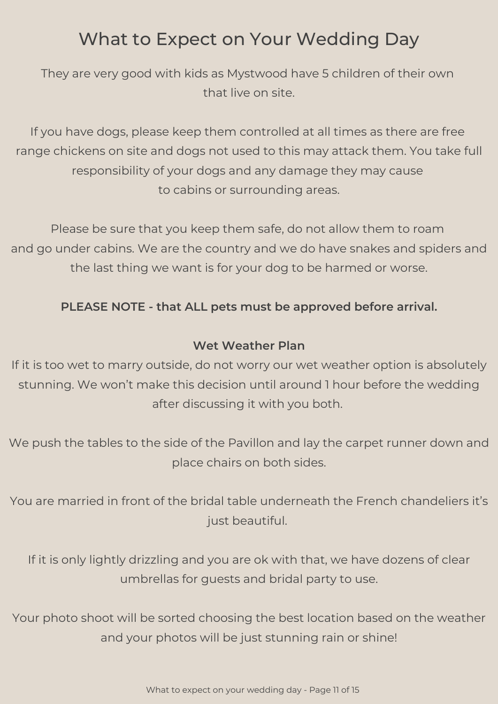They are very good with kids as Mystwood have 5 children of their own that live on site.

If you have dogs, please keep them controlled at all times as there are free range chickens on site and dogs not used to this may attack them. You take full responsibility of your dogs and any damage they may cause to cabins or surrounding areas.

Please be sure that you keep them safe, do not allow them to roam and go under cabins. We are the country and we do have snakes and spiders and the last thing we want is for your dog to be harmed or worse.

### **PLEASE NOTE - that ALL pets must be approved before arrival.**

#### **Wet Weather Plan**

If it is too wet to marry outside, do not worry our wet weather option is absolutely stunning. We won't make this decision until around 1 hour before the wedding after discussing it with you both.

We push the tables to the side of the Pavillon and lay the carpet runner down and place chairs on both sides.

You are married in front of the bridal table underneath the French chandeliers it's just beautiful.

If it is only lightly drizzling and you are ok with that, we have dozens of clear umbrellas for guests and bridal party to use.

Your photo shoot will be sorted choosing the best location based on the weather and your photos will be just stunning rain or shine!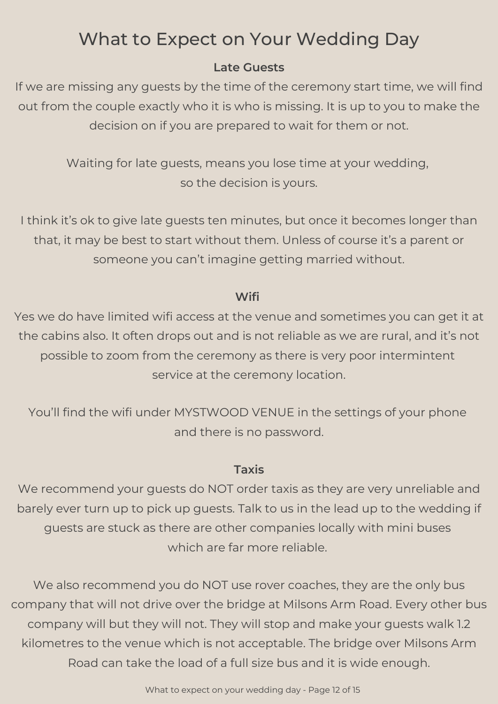### **Late Guests**

If we are missing any guests by the time of the ceremony start time, we will find out from the couple exactly who it is who is missing. It is up to you to make the decision on if you are prepared to wait for them or not.

> Waiting for late guests, means you lose time at your wedding, so the decision is yours.

I think it's ok to give late guests ten minutes, but once it becomes longer than that, it may be best to start without them. Unless of course it's a parent or someone you can't imagine getting married without.

### **Wifi**

Yes we do have limited wifi access at the venue and sometimes you can get it at the cabins also. It often drops out and is not reliable as we are rural, and it's not possible to zoom from the ceremony as there is very poor intermintent service at the ceremony location.

You'll find the wifi under MYSTWOOD VENUE in the settings of your phone and there is no password.

### **Taxis**

We recommend your guests do NOT order taxis as they are very unreliable and barely ever turn up to pick up guests. Talk to us in the lead up to the wedding if guests are stuck as there are other companies locally with mini buses which are far more reliable.

We also recommend you do NOT use rover coaches, they are the only bus company that will not drive over the bridge at Milsons Arm Road. Every other bus company will but they will not. They will stop and make your guests walk 1.2 kilometres to the venue which is not acceptable. The bridge over Milsons Arm Road can take the load of a full size bus and it is wide enough.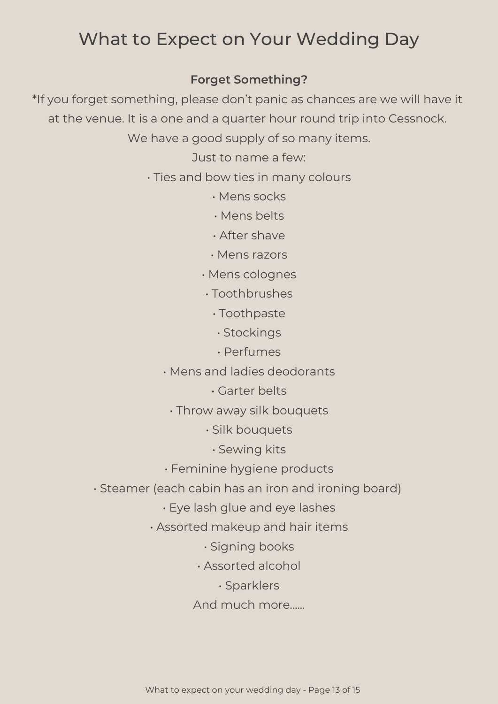### **Forget Something?**

\*If you forget something, please don't panic as chances are we will have it at the venue. It is a one and a quarter hour round trip into Cessnock.

We have a good supply of so many items.

Just to name a few:

- Ties and bow ties in many colours
	- Mens socks
	- Mens belts
	- After shave
	- Mens razors
	- Mens colognes
	- Toothbrushes
		- Toothpaste
		- Stockings
		- Perfumes
	- Mens and ladies deodorants
		- Garter belts
		- Throw away silk bouquets
			- Silk bouquets
				- Sewing kits
	- Feminine hygiene products
- Steamer (each cabin has an iron and ironing board)
	- Eye lash glue and eye lashes
	- Assorted makeup and hair items
		- Signing books
		- Assorted alcohol
			- Sparklers
		- And much more......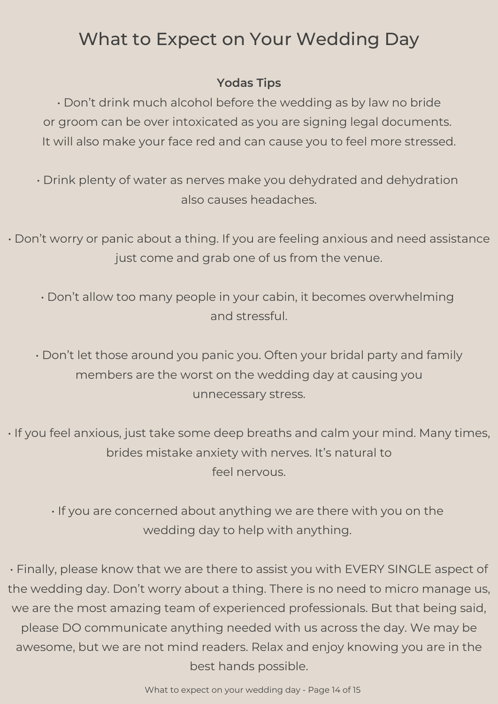### **Yodas Tips**

• Don't drink much alcohol before the wedding as by law no bride or groom can be over intoxicated as you are signing legal documents. It will also make your face red and can cause you to feel more stressed.

• Drink plenty of water as nerves make you dehydrated and dehydration also causes headaches.

• Don't worry or panic about a thing. If you are feeling anxious and need assistance just come and grab one of us from the venue.

• Don't allow too many people in your cabin, it becomes overwhelming and stressful.

• Don't let those around you panic you. Often your bridal party and family members are the worst on the wedding day at causing you unnecessary stress.

• If you feel anxious, just take some deep breaths and calm your mind. Many times, brides mistake anxiety with nerves. It's natural to feel nervous.

• If you are concerned about anything we are there with you on the wedding day to help with anything.

• Finally, please know that we are there to assist you with EVERY SINGLE aspect of the wedding day. Don't worry about a thing. There is no need to micro manage us, we are the most amazing team of experienced professionals. But that being said, please DO communicate anything needed with us across the day. We may be awesome, but we are not mind readers. Relax and enjoy knowing you are in the best hands possible.